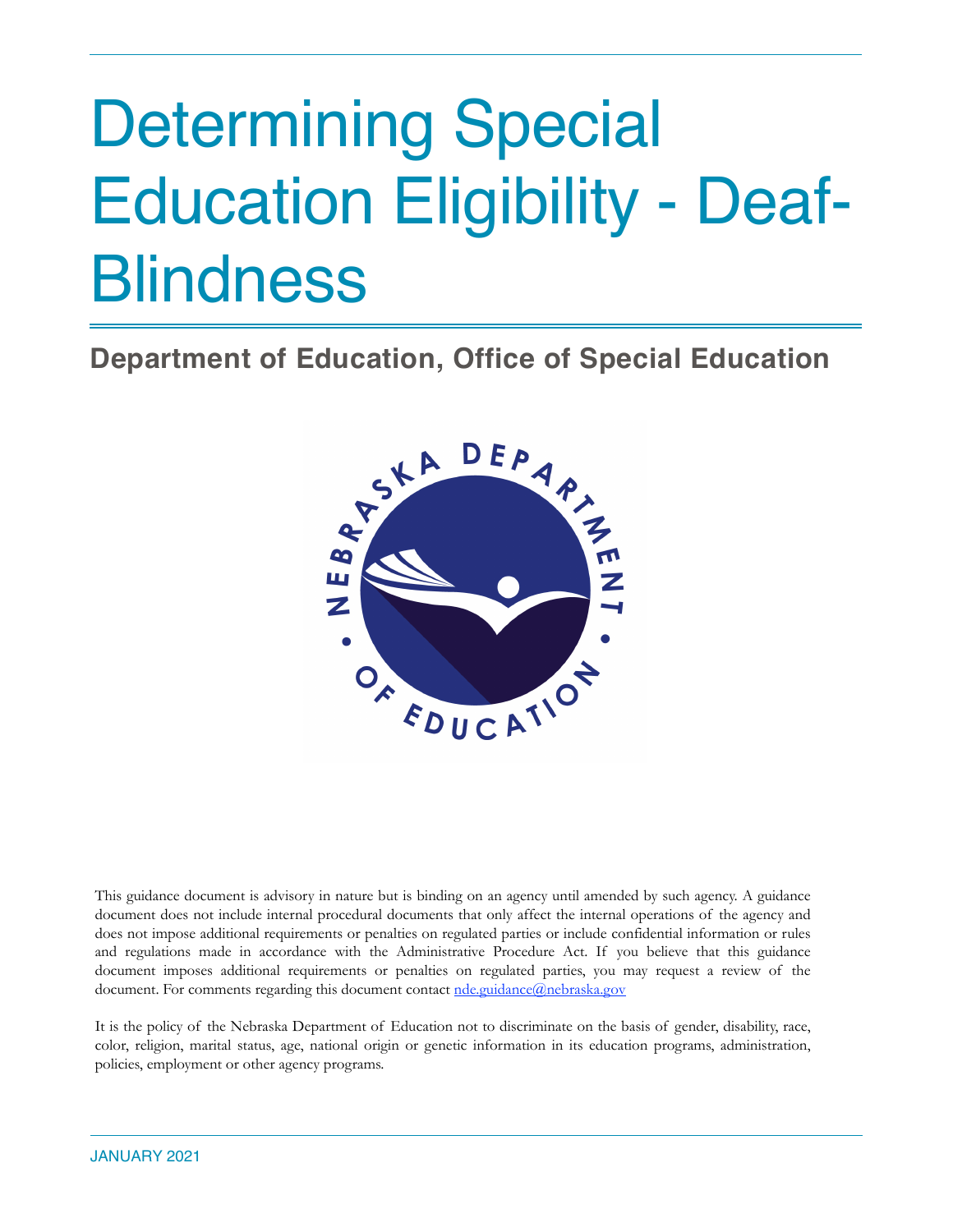# Determining Special Education Eligibility - Deaf-**Blindness**

**Department of Education, Office of Special Education**



This guidance document is advisory in nature but is binding on an agency until amended by such agency. A guidance document does not include internal procedural documents that only affect the internal operations of the agency and does not impose additional requirements or penalties on regulated parties or include confidential information or rules and regulations made in accordance with the Administrative Procedure Act. If you believe that this guidance document imposes additional requirements or penalties on regulated parties, you may request a review of the document. For comments regarding this document contact [nde.guidance@nebraska.gov](mailto:nde.guidance@nebraska.gov)

It is the policy of the Nebraska Department of Education not to discriminate on the basis of gender, disability, race, color, religion, marital status, age, national origin or genetic information in its education programs, administration, policies, employment or other agency programs.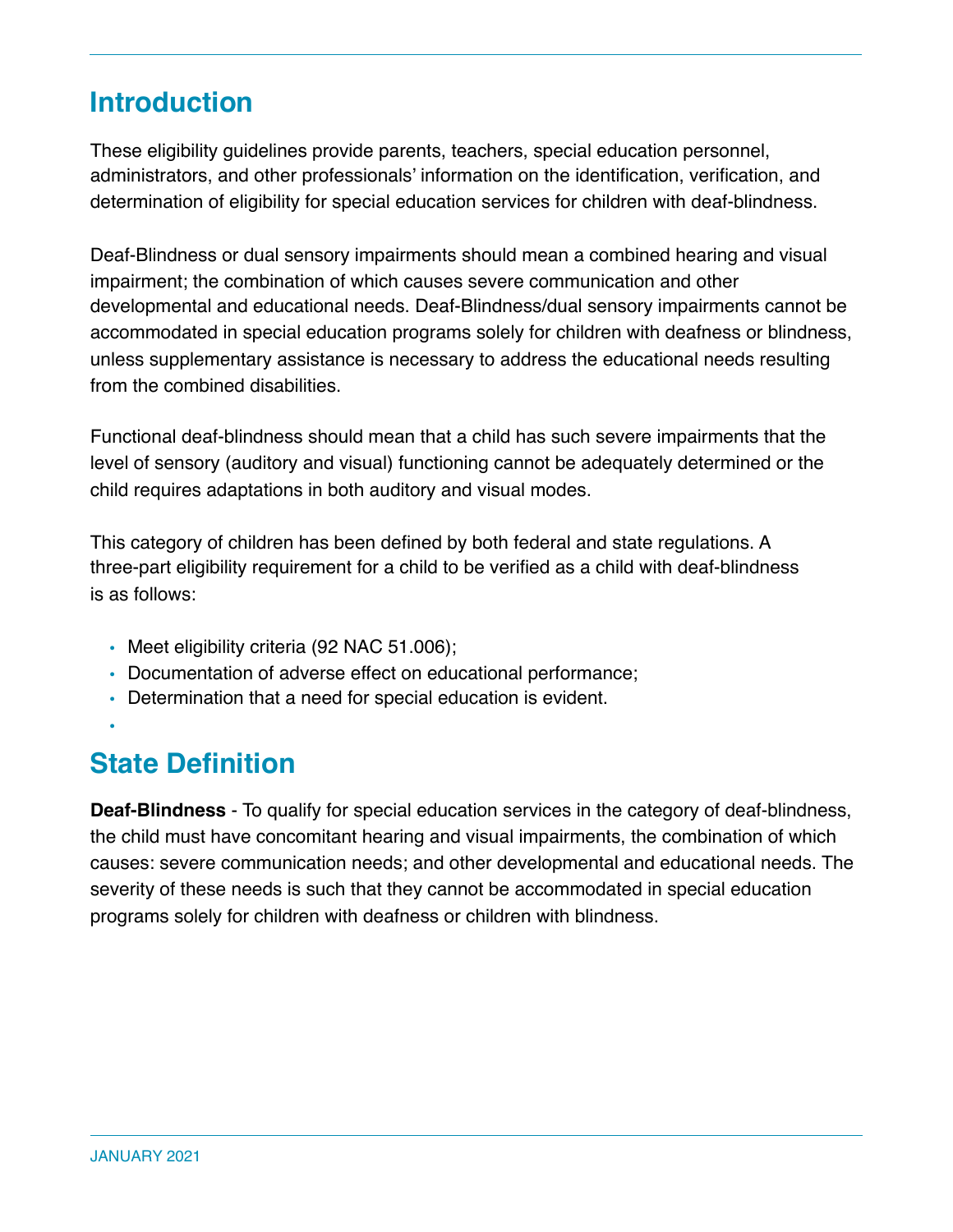### **Introduction**

These eligibility guidelines provide parents, teachers, special education personnel, administrators, and other professionals' information on the identification, verification, and determination of eligibility for special education services for children with deaf-blindness.

Deaf-Blindness or dual sensory impairments should mean a combined hearing and visual impairment; the combination of which causes severe communication and other developmental and educational needs. Deaf-Blindness/dual sensory impairments cannot be accommodated in special education programs solely for children with deafness or blindness, unless supplementary assistance is necessary to address the educational needs resulting from the combined disabilities.

Functional deaf-blindness should mean that a child has such severe impairments that the level of sensory (auditory and visual) functioning cannot be adequately determined or the child requires adaptations in both auditory and visual modes.

This category of children has been defined by both federal and state regulations. A three-part eligibility requirement for a child to be verified as a child with deaf-blindness is as follows:

- Meet eligibility criteria (92 NAC 51.006);
- Documentation of adverse effect on educational performance;
- Determination that a need for special education is evident.
- •

### **State Definition**

**Deaf-Blindness** - To qualify for special education services in the category of deaf-blindness, the child must have concomitant hearing and visual impairments, the combination of which causes: severe communication needs; and other developmental and educational needs. The severity of these needs is such that they cannot be accommodated in special education programs solely for children with deafness or children with blindness.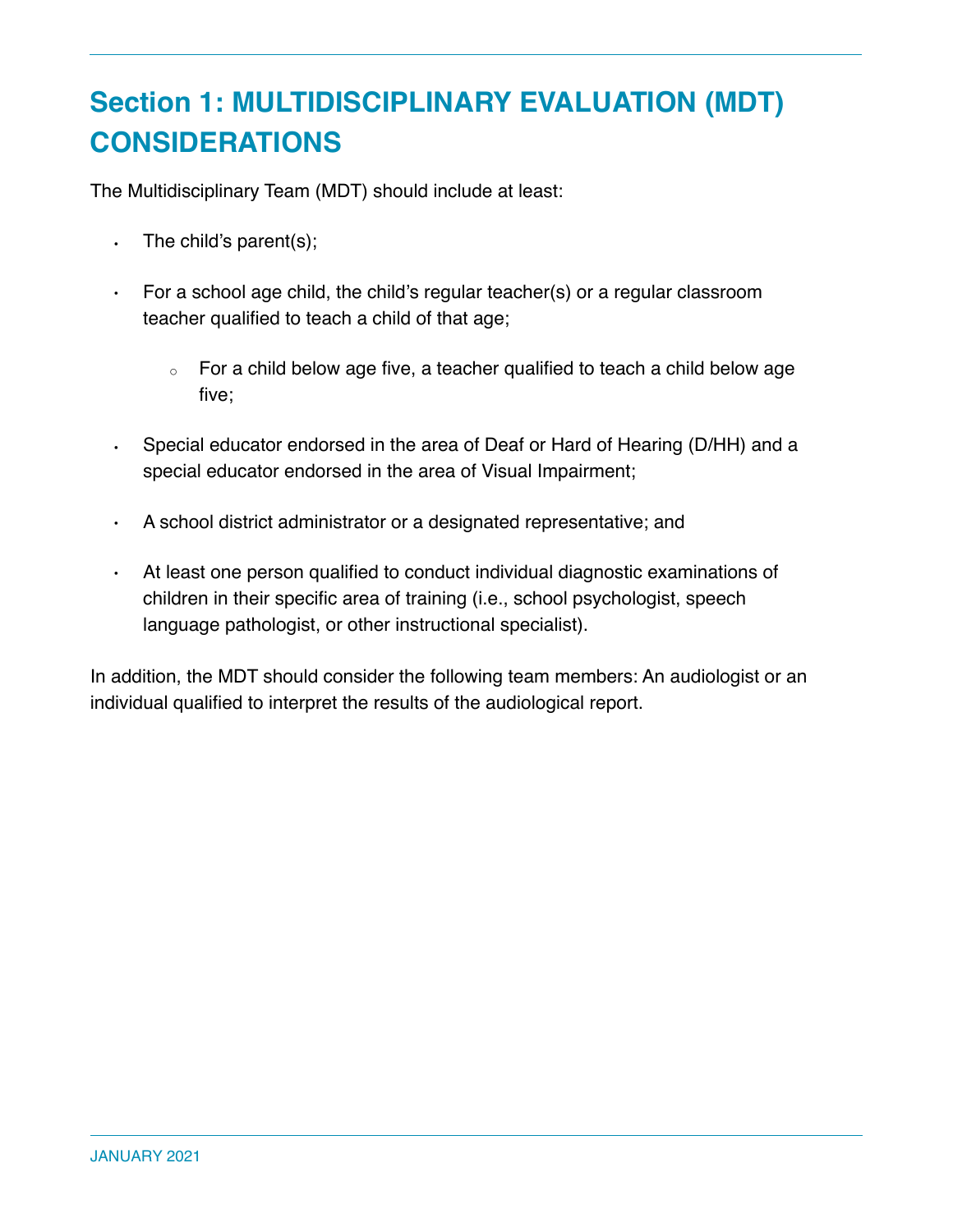# **Section 1: MULTIDISCIPLINARY EVALUATION (MDT) CONSIDERATIONS**

The Multidisciplinary Team (MDT) should include at least:

- $\cdot$  The child's parent(s);
- For a school age child, the child's regular teacher(s) or a regular classroom teacher qualified to teach a child of that age;
	- For a child below age five, a teacher qualified to teach a child below age five;
- Special educator endorsed in the area of Deaf or Hard of Hearing (D/HH) and a special educator endorsed in the area of Visual Impairment;
- A school district administrator or a designated representative; and
- At least one person qualified to conduct individual diagnostic examinations of children in their specific area of training (i.e., school psychologist, speech language pathologist, or other instructional specialist).

In addition, the MDT should consider the following team members: An audiologist or an individual qualified to interpret the results of the audiological report.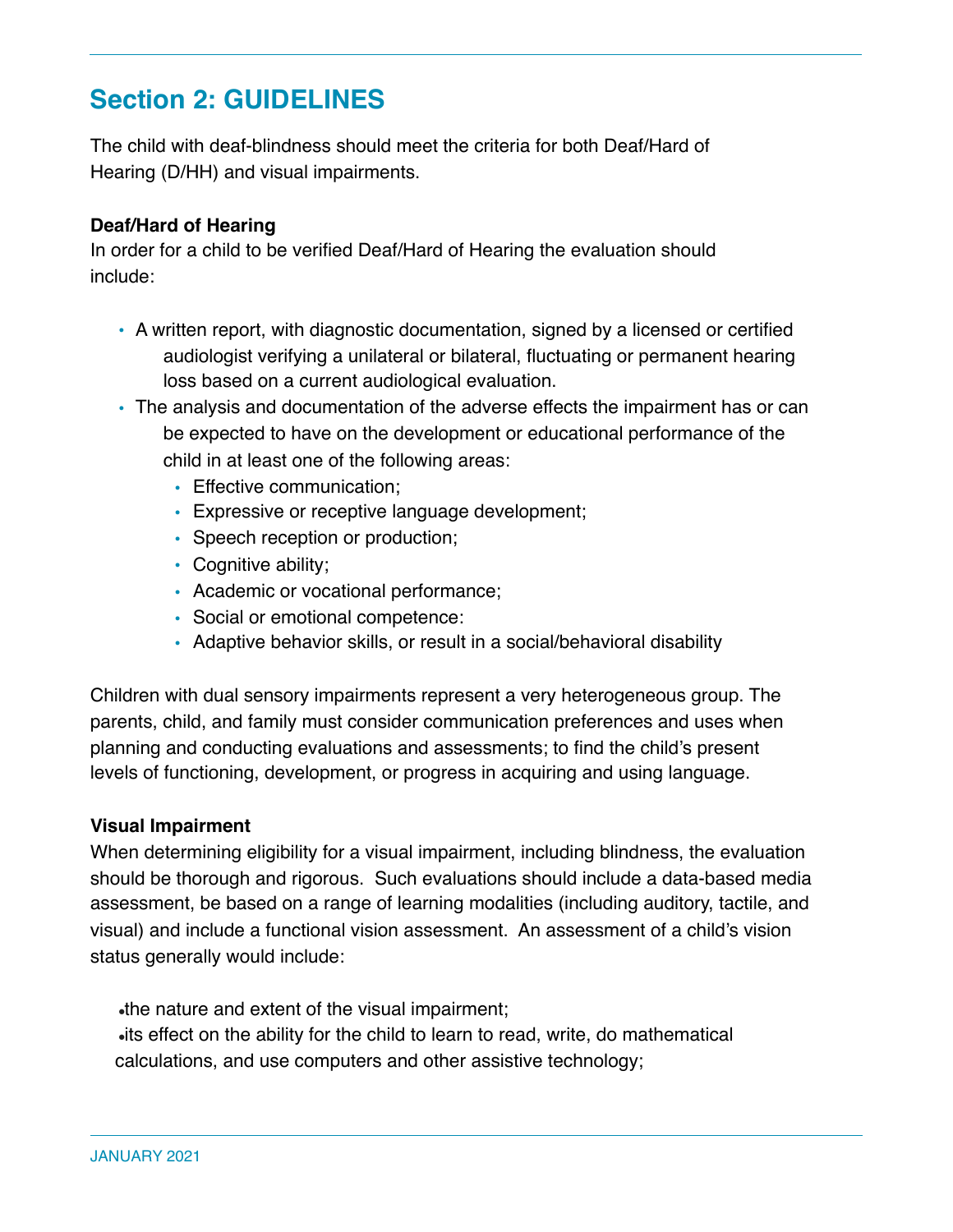### **Section 2: GUIDELINES**

The child with deaf-blindness should meet the criteria for both Deaf/Hard of Hearing (D/HH) and visual impairments.

### **Deaf/Hard of Hearing**

In order for a child to be verified Deaf/Hard of Hearing the evaluation should include:

- A written report, with diagnostic documentation, signed by a licensed or certified audiologist verifying a unilateral or bilateral, fluctuating or permanent hearing loss based on a current audiological evaluation.
- The analysis and documentation of the adverse effects the impairment has or can be expected to have on the development or educational performance of the child in at least one of the following areas:
	- Effective communication;
	- Expressive or receptive language development;
	- Speech reception or production;
	- Cognitive ability;
	- Academic or vocational performance;
	- Social or emotional competence:
	- Adaptive behavior skills, or result in a social/behavioral disability

Children with dual sensory impairments represent a very heterogeneous group. The parents, child, and family must consider communication preferences and uses when planning and conducting evaluations and assessments; to find the child's present levels of functioning, development, or progress in acquiring and using language.

#### **Visual Impairment**

When determining eligibility for a visual impairment, including blindness, the evaluation should be thorough and rigorous. Such evaluations should include a data-based media assessment, be based on a range of learning modalities (including auditory, tactile, and visual) and include a functional vision assessment. An assessment of a child's vision status generally would include:

 $\bullet$  the nature and extent of the visual impairment; ●its effect on the ability for the child to learn to read, write, do mathematical calculations, and use computers and other assistive technology;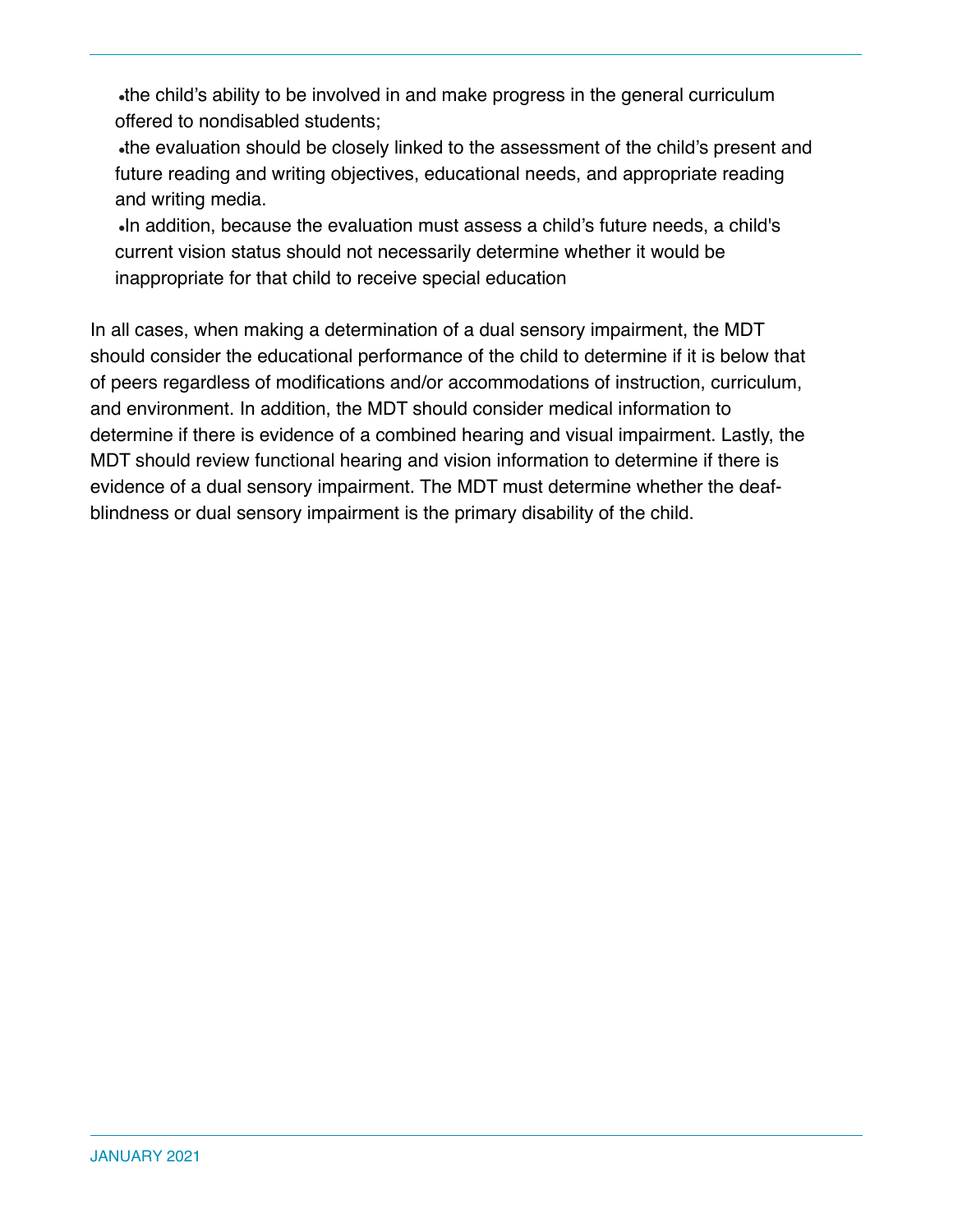•the child's ability to be involved in and make progress in the general curriculum offered to nondisabled students;

●the evaluation should be closely linked to the assessment of the child's present and future reading and writing objectives, educational needs, and appropriate reading and writing media.

●In addition, because the evaluation must assess a child's future needs, a child's current vision status should not necessarily determine whether it would be inappropriate for that child to receive special education

In all cases, when making a determination of a dual sensory impairment, the MDT should consider the educational performance of the child to determine if it is below that of peers regardless of modifications and/or accommodations of instruction, curriculum, and environment. In addition, the MDT should consider medical information to determine if there is evidence of a combined hearing and visual impairment. Lastly, the MDT should review functional hearing and vision information to determine if there is evidence of a dual sensory impairment. The MDT must determine whether the deafblindness or dual sensory impairment is the primary disability of the child.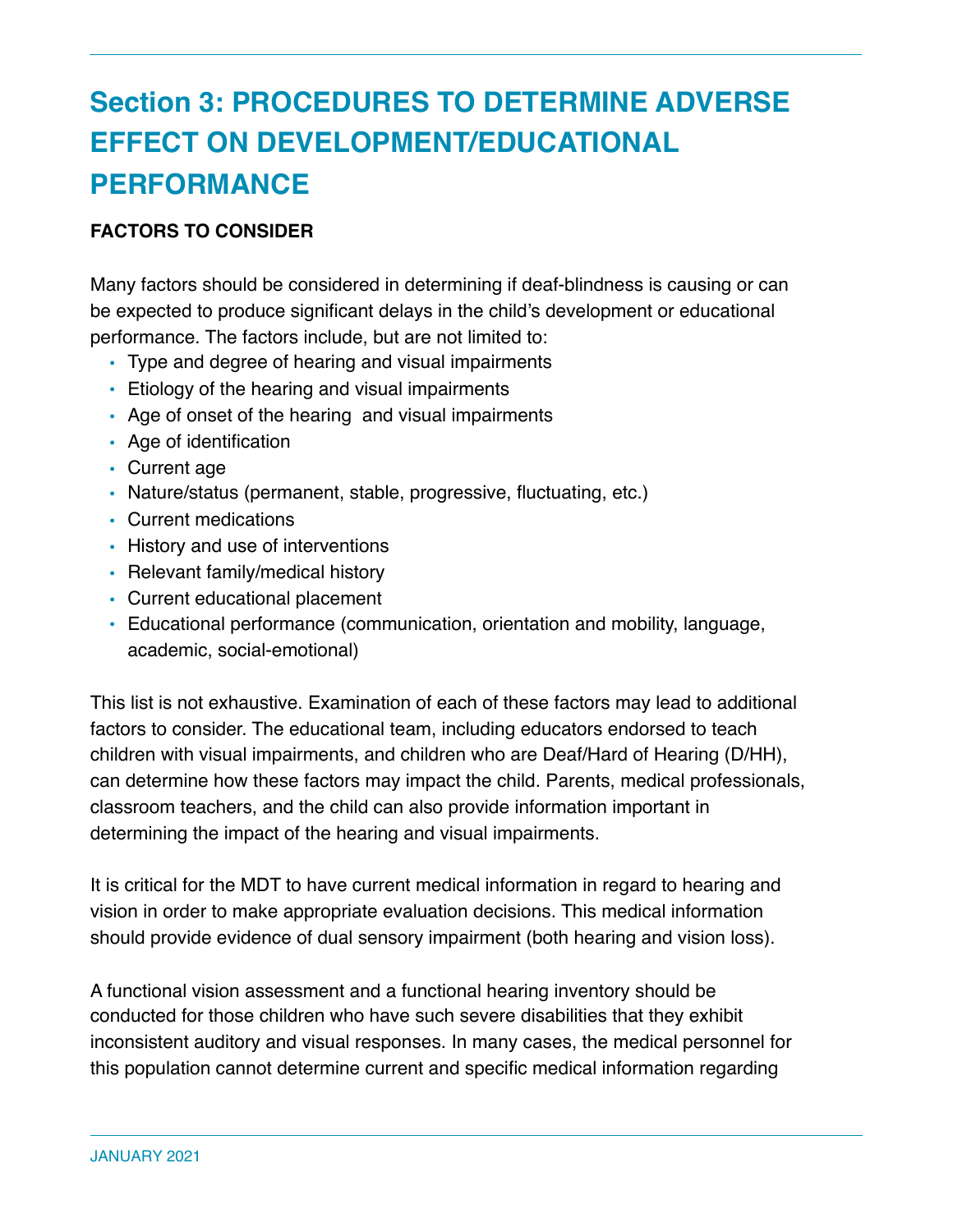# **Section 3: PROCEDURES TO DETERMINE ADVERSE EFFECT ON DEVELOPMENT/EDUCATIONAL PERFORMANCE**

### **FACTORS TO CONSIDER**

Many factors should be considered in determining if deaf-blindness is causing or can be expected to produce significant delays in the child's development or educational performance. The factors include, but are not limited to:

- Type and degree of hearing and visual impairments
- Etiology of the hearing and visual impairments
- Age of onset of the hearing and visual impairments
- Age of identification
- Current age
- Nature/status (permanent, stable, progressive, fluctuating, etc.)
- Current medications
- History and use of interventions
- Relevant family/medical history
- Current educational placement
- Educational performance (communication, orientation and mobility, language, academic, social-emotional)

This list is not exhaustive. Examination of each of these factors may lead to additional factors to consider. The educational team, including educators endorsed to teach children with visual impairments, and children who are Deaf/Hard of Hearing (D/HH), can determine how these factors may impact the child. Parents, medical professionals, classroom teachers, and the child can also provide information important in determining the impact of the hearing and visual impairments.

It is critical for the MDT to have current medical information in regard to hearing and vision in order to make appropriate evaluation decisions. This medical information should provide evidence of dual sensory impairment (both hearing and vision loss).

A functional vision assessment and a functional hearing inventory should be conducted for those children who have such severe disabilities that they exhibit inconsistent auditory and visual responses. In many cases, the medical personnel for this population cannot determine current and specific medical information regarding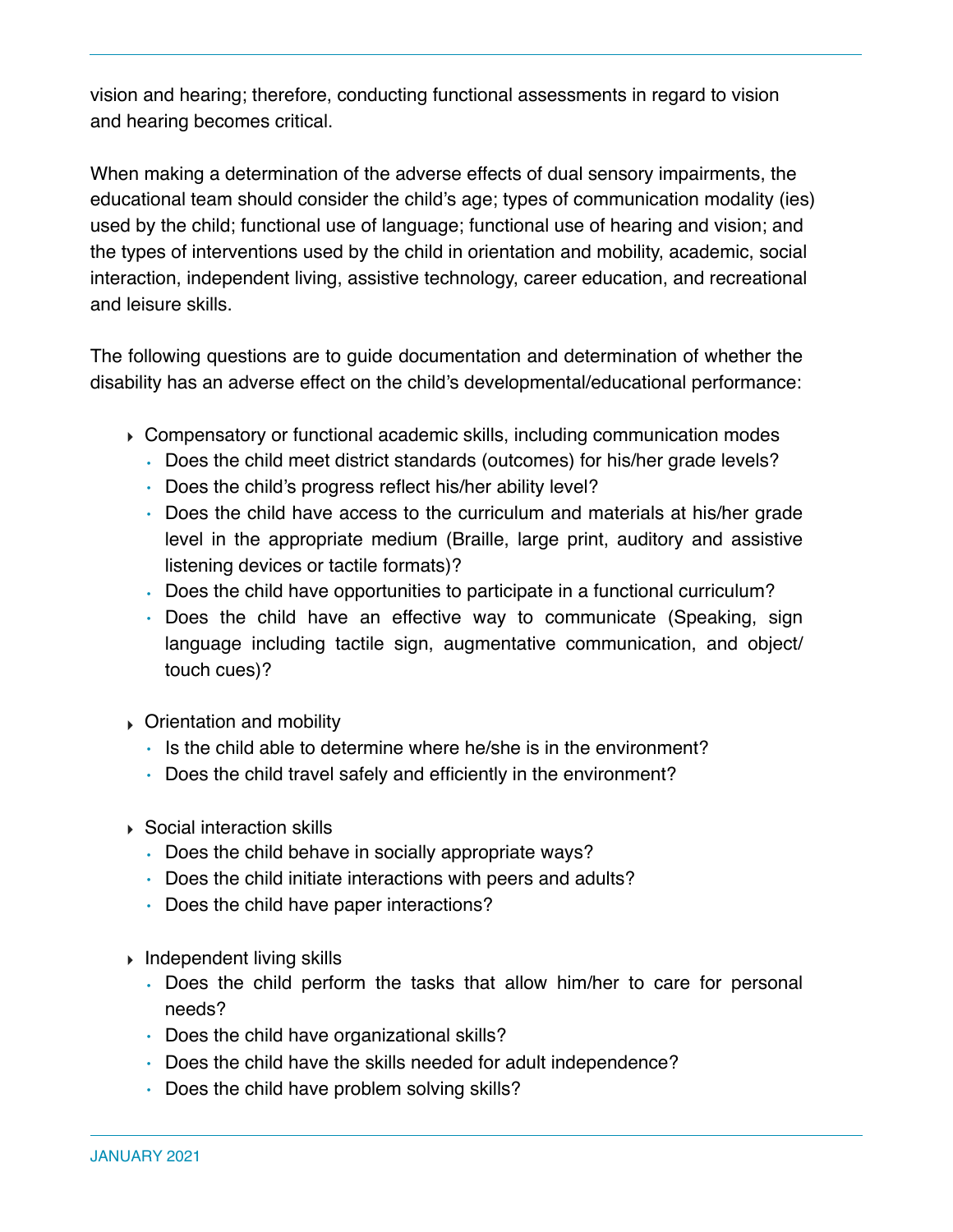vision and hearing; therefore, conducting functional assessments in regard to vision and hearing becomes critical.

When making a determination of the adverse effects of dual sensory impairments, the educational team should consider the child's age; types of communication modality (ies) used by the child; functional use of language; functional use of hearing and vision; and the types of interventions used by the child in orientation and mobility, academic, social interaction, independent living, assistive technology, career education, and recreational and leisure skills.

The following questions are to guide documentation and determination of whether the disability has an adverse effect on the child's developmental/educational performance:

- ‣ Compensatory or functional academic skills, including communication modes
	- Does the child meet district standards (outcomes) for his/her grade levels?
	- Does the child's progress reflect his/her ability level?
	- Does the child have access to the curriculum and materials at his/her grade level in the appropriate medium (Braille, large print, auditory and assistive listening devices or tactile formats)?
	- Does the child have opportunities to participate in a functional curriculum?
	- Does the child have an effective way to communicate (Speaking, sign language including tactile sign, augmentative communication, and object/ touch cues)?
- ‣ Orientation and mobility
	- Is the child able to determine where he/she is in the environment?
	- Does the child travel safely and efficiently in the environment?
- ‣ Social interaction skills
	- Does the child behave in socially appropriate ways?
	- Does the child initiate interactions with peers and adults?
	- Does the child have paper interactions?
- ‣ Independent living skills
	- Does the child perform the tasks that allow him/her to care for personal needs?
	- Does the child have organizational skills?
	- Does the child have the skills needed for adult independence?
	- Does the child have problem solving skills?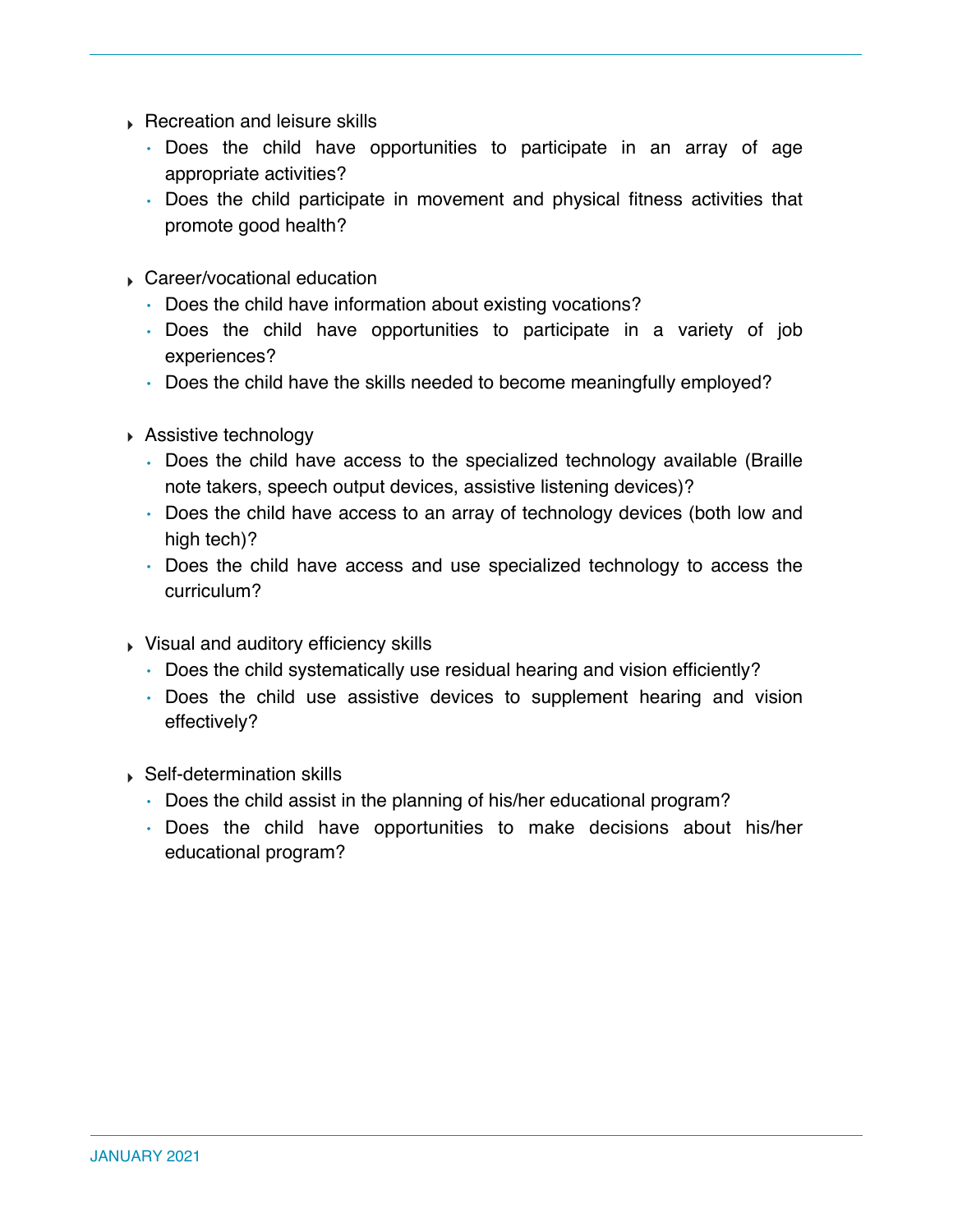- ‣ Recreation and leisure skills
	- Does the child have opportunities to participate in an array of age appropriate activities?
	- Does the child participate in movement and physical fitness activities that promote good health?
- ‣ Career/vocational education
	- Does the child have information about existing vocations?
	- Does the child have opportunities to participate in a variety of job experiences?
	- Does the child have the skills needed to become meaningfully employed?
- ‣ Assistive technology
	- Does the child have access to the specialized technology available (Braille note takers, speech output devices, assistive listening devices)?
	- Does the child have access to an array of technology devices (both low and high tech)?
	- Does the child have access and use specialized technology to access the curriculum?
- ‣ Visual and auditory efficiency skills
	- Does the child systematically use residual hearing and vision efficiently?
	- Does the child use assistive devices to supplement hearing and vision effectively?
- ‣ Self-determination skills
	- Does the child assist in the planning of his/her educational program?
	- Does the child have opportunities to make decisions about his/her educational program?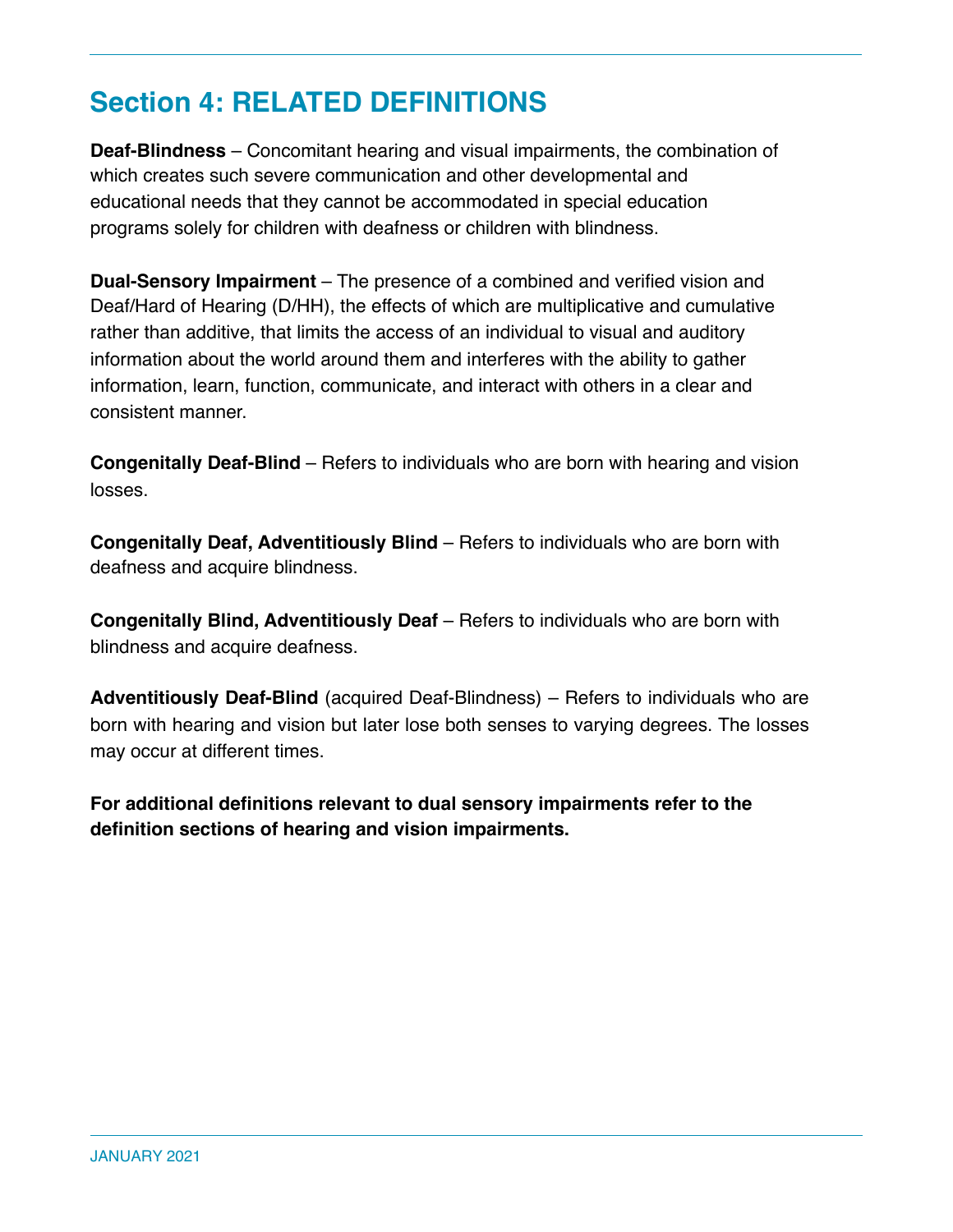### **Section 4: RELATED DEFINITIONS**

**Deaf-Blindness** – Concomitant hearing and visual impairments, the combination of which creates such severe communication and other developmental and educational needs that they cannot be accommodated in special education programs solely for children with deafness or children with blindness.

**Dual-Sensory Impairment** – The presence of a combined and verified vision and Deaf/Hard of Hearing (D/HH), the effects of which are multiplicative and cumulative rather than additive, that limits the access of an individual to visual and auditory information about the world around them and interferes with the ability to gather information, learn, function, communicate, and interact with others in a clear and consistent manner.

**Congenitally Deaf-Blind** – Refers to individuals who are born with hearing and vision losses.

**Congenitally Deaf, Adventitiously Blind** – Refers to individuals who are born with deafness and acquire blindness.

**Congenitally Blind, Adventitiously Deaf** – Refers to individuals who are born with blindness and acquire deafness.

**Adventitiously Deaf-Blind** (acquired Deaf-Blindness) – Refers to individuals who are born with hearing and vision but later lose both senses to varying degrees. The losses may occur at different times.

**For additional definitions relevant to dual sensory impairments refer to the definition sections of hearing and vision impairments.**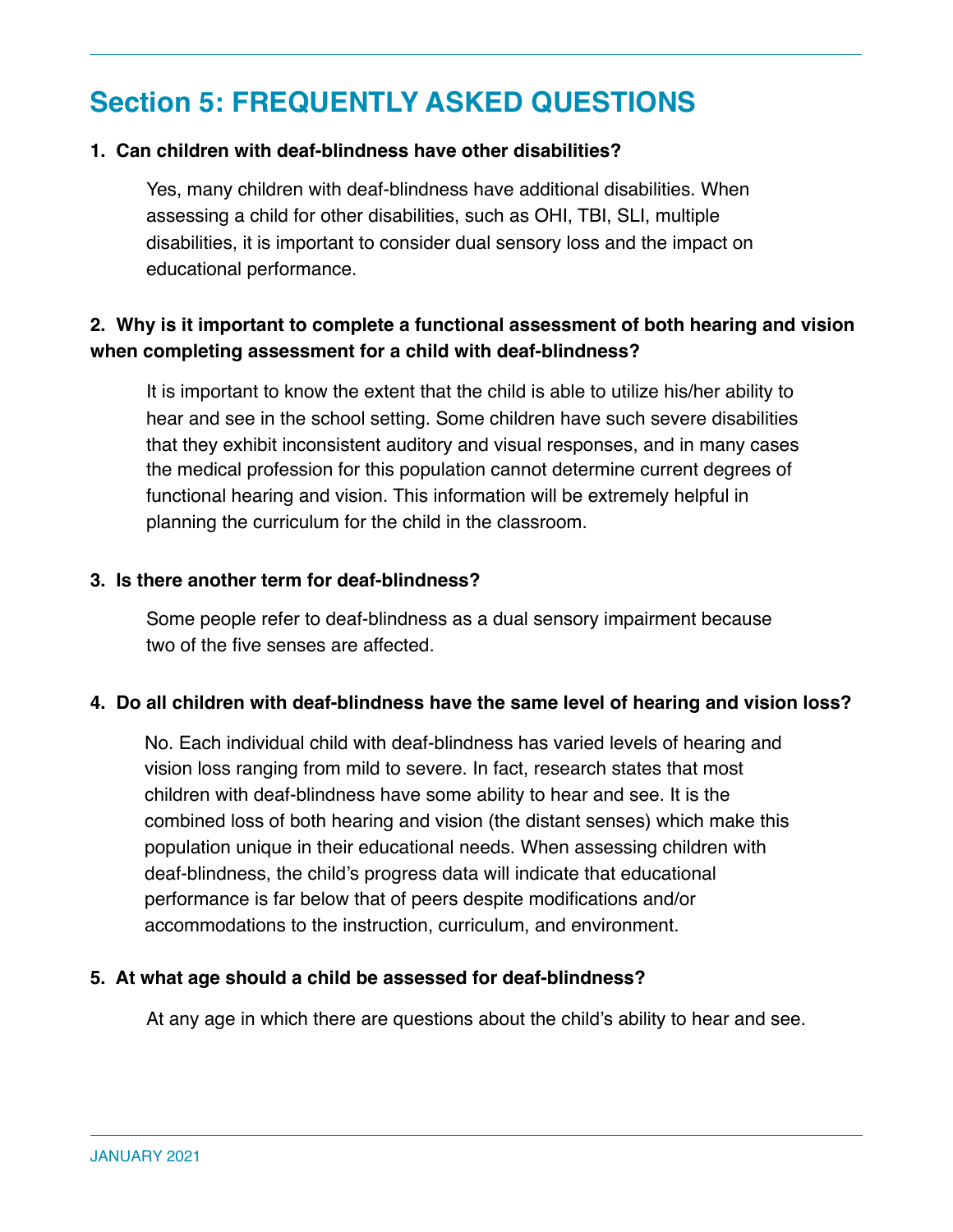### **Section 5: FREQUENTLY ASKED QUESTIONS**

#### **1. Can children with deaf-blindness have other disabilities?**

Yes, many children with deaf-blindness have additional disabilities. When assessing a child for other disabilities, such as OHI, TBI, SLI, multiple disabilities, it is important to consider dual sensory loss and the impact on educational performance.

### **2. Why is it important to complete a functional assessment of both hearing and vision when completing assessment for a child with deaf-blindness?**

It is important to know the extent that the child is able to utilize his/her ability to hear and see in the school setting. Some children have such severe disabilities that they exhibit inconsistent auditory and visual responses, and in many cases the medical profession for this population cannot determine current degrees of functional hearing and vision. This information will be extremely helpful in planning the curriculum for the child in the classroom.

#### **3. Is there another term for deaf-blindness?**

Some people refer to deaf-blindness as a dual sensory impairment because two of the five senses are affected.

### **4. Do all children with deaf-blindness have the same level of hearing and vision loss?**

No. Each individual child with deaf-blindness has varied levels of hearing and vision loss ranging from mild to severe. In fact, research states that most children with deaf-blindness have some ability to hear and see. It is the combined loss of both hearing and vision (the distant senses) which make this population unique in their educational needs. When assessing children with deaf-blindness, the child's progress data will indicate that educational performance is far below that of peers despite modifications and/or accommodations to the instruction, curriculum, and environment.

#### **5. At what age should a child be assessed for deaf-blindness?**

At any age in which there are questions about the child's ability to hear and see.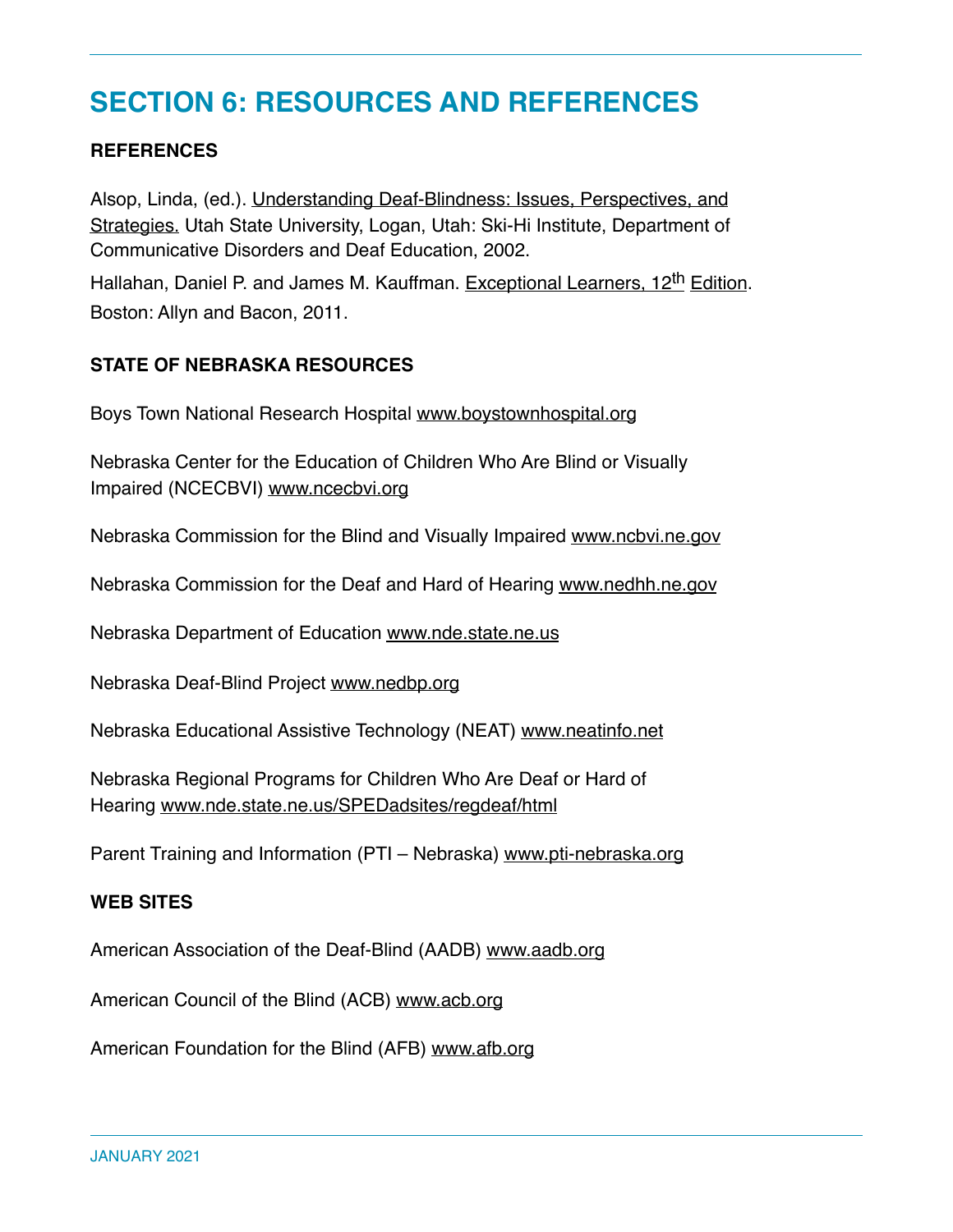### **SECTION 6: RESOURCES AND REFERENCES**

### **REFERENCES**

Alsop, Linda, (ed.). Understanding Deaf-Blindness: Issues, Perspectives, and Strategies. Utah State University, Logan, Utah: Ski-Hi Institute, Department of Communicative Disorders and Deaf Education, 2002.

Hallahan, Daniel P. and James M. Kauffman. Exceptional Learners, 12<sup>th</sup> Edition. Boston: Allyn and Bacon, 2011.

#### **STATE OF NEBRASKA RESOURCES**

Boys Town National Research Hospital www.boystownhospital.org

Nebraska Center for the Education of Children Who Are Blind or Visually Impaired (NCECBVI) www.ncecbvi.org

Nebraska Commission for the Blind and Visually Impaired www.ncbvi.ne.gov

Nebraska Commission for the Deaf and Hard of Hearing www.nedhh.ne.gov

Nebraska Department of Education www.nde.state.ne.us

Nebraska Deaf-Blind Project www.nedbp.org

Nebraska Educational Assistive Technology (NEAT) www.neatinfo.net

Nebraska Regional Programs for Children Who Are Deaf or Hard of Hearing www.nde.state.ne.us/SPEDadsites/regdeaf/html

Parent Training and Information (PTI – Nebraska) www.pti-nebraska.org

#### **WEB SITES**

American Association of the Deaf-Blind (AADB) www.aadb.org

American Council of the Blind (ACB) www.acb.org

American Foundation for the Blind (AFB) www.afb.org